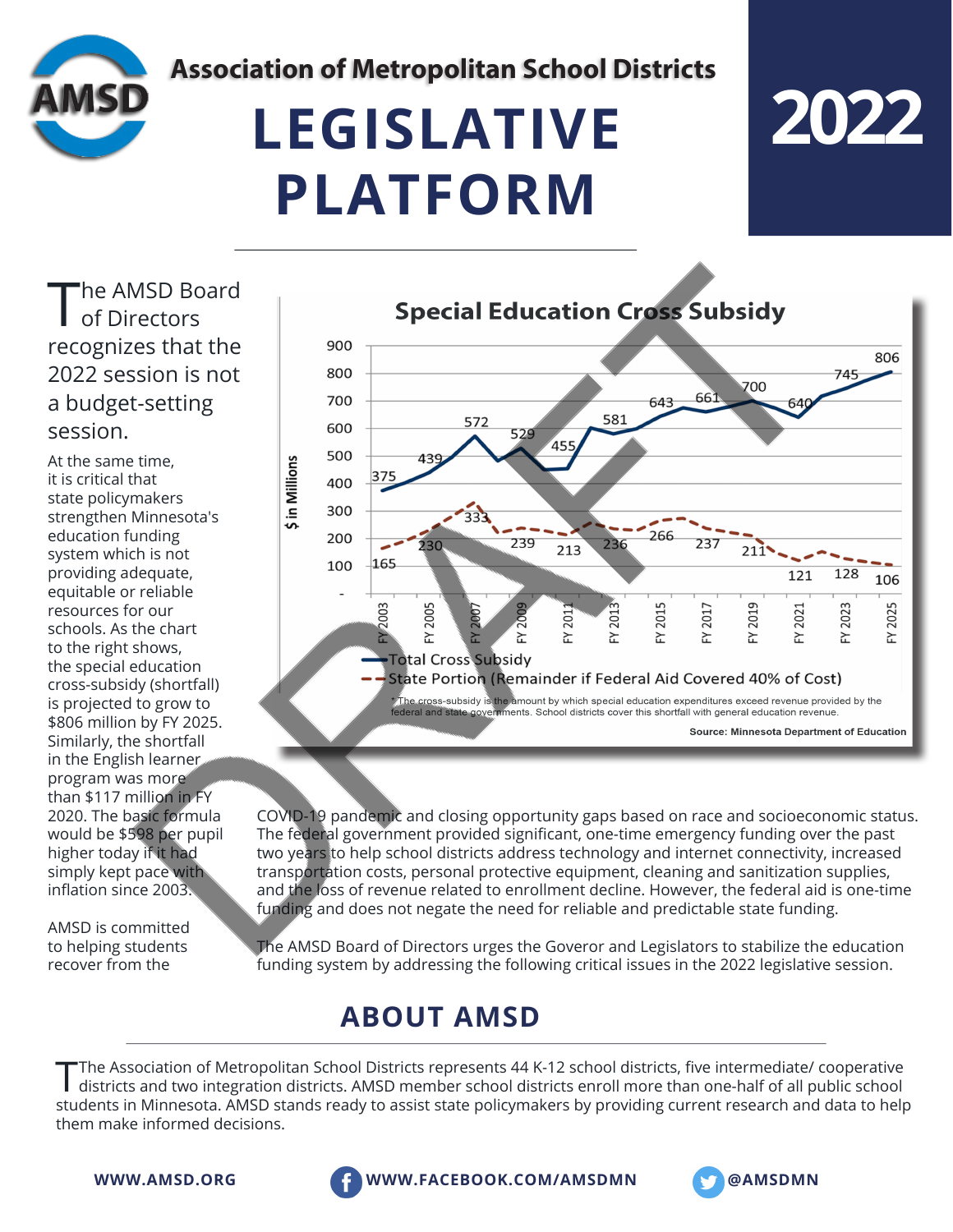

**Association of Metropolitan School Districts**

# **LEGISLATIVE PLATFORM**



The AMSD Board of Directors recognizes that the 2022 session is not a budget-setting session.

At the same time, it is critical that state policymakers strengthen Minnesota's education funding system which is not providing adequate, equitable or reliable resources for our schools. As the chart to the right shows, the special education cross-subsidy (shortfall) is projected to grow to \$806 million by FY 2025. Similarly, the shortfall in the English learner program was more than \$117 million in FY 2020. The basic formula would be \$598 per pupil higher today if it had simply kept pace with infation since 2003.

AMSD is committed to helping students recover from the



COVID-19 pandemic and closing opportunity gaps based on race and socioeconomic status. The federal government provided signifcant, one-time emergency funding over the past two years to help school districts address technology and internet connectivity, increased transportation costs, personal protective equipment, cleaning and sanitization supplies, and the loss of revenue related to enrollment decline. However, the federal aid is one-time funding and does not negate the need for reliable and predictable state funding.

The AMSD Board of Directors urges the Goveror and Legislators to stabilize the education funding system by addressing the following critical issues in the 2022 legislative session.

#### **ABOUT AMSD**

The Association of Metropolitan School Districts represents 44 K-12 school districts, five intermediate/ cooperative<br>districts and two integration districts. AMSD member school districts enroll more than one-half of all pu students in Minnesota. AMSD stands ready to assist state policymakers by providing current research and data to help them make informed decisions.



**WWW.AMSD.ORG WWW.FACEBOOK.COM/AMSDMN @AMSDMN**